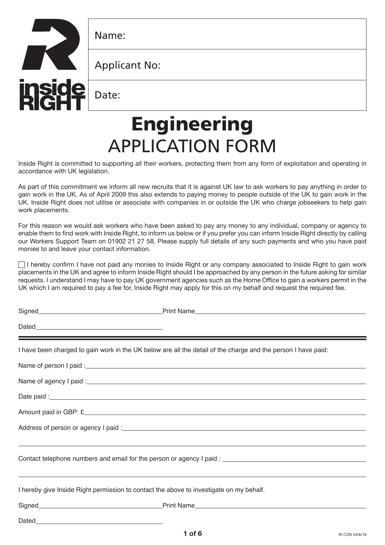Name:

Date:

Applicant No:

Engineering APPLICATION FORM

Inside Right is committed to supporting all their workers, protecting them from any form of exploitation and operating in accordance with UK legislation.

As part of this commitment we inform all new recruits that it is against UK law to ask workers to pay anything in order to gain work in the UK. As of April 2009 this also extends to paying money to people outside of the UK to gain work in the UK. Inside Right does not utilise or associate with companies in or outside the UK who charge jobseekers to help gain work placements.

For this reason we would ask workers who have been asked to pay any money to any individual, company or agency to enable them to find work with Inside Right, to inform us below or if you prefer you can inform Inside Right directly by calling our Workers Support Team on 01902 21 27 58. Please supply full details of any such payments and who you have paid monies to and leave your contact information.

I hereby confirm I have not paid any monies to Inside Right or any company associated to Inside Right to gain work placements in the UK and agree to inform Inside Right should I be approached by any person in the future asking for similar requests. I understand I may have to pay UK government agencies such as the Home Office to gain a workers permit in the UK which I am required to pay a fee for, Inside Right may apply for this on my behalf and request the required fee.

| I have been charged to gain work in the UK below are all the detail of the charge and the person I have paid:                                                                       |
|-------------------------------------------------------------------------------------------------------------------------------------------------------------------------------------|
|                                                                                                                                                                                     |
|                                                                                                                                                                                     |
|                                                                                                                                                                                     |
|                                                                                                                                                                                     |
|                                                                                                                                                                                     |
| ,我们也不能会在这里,我们的人们就会在这里,我们也不能会在这里,我们也不能会在这里,我们也不能会在这里,我们也不能会在这里,我们也不能会在这里,我们也不能会在这里                                                                                                   |
| <u>,这就是这个人的人,我们就是这个人的人,我们就是这个人的人,我们就是这个人的人,我们就是这个人的人,我们就是这个人的人,我们就是这个人的人,我们就是</u> 这个人的人,<br>I hereby give Inside Right permission to contact the above to investigate on my behalf. |
|                                                                                                                                                                                     |
|                                                                                                                                                                                     |

IR CON V3/6/18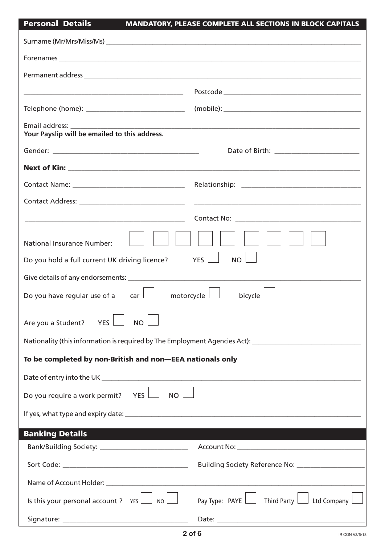# Personal Details MANDATORY, PLEASE COMPLETE ALL SECTIONS IN BLOCK CAPITALS

| Email address: ____________<br>Your Payslip will be emailed to this address. | <u> 1989 - Johann Harry Harry Harry Harry Harry Harry Harry Harry Harry Harry Harry Harry Harry Harry Harry Harry</u>                                       |
|------------------------------------------------------------------------------|-------------------------------------------------------------------------------------------------------------------------------------------------------------|
|                                                                              |                                                                                                                                                             |
|                                                                              |                                                                                                                                                             |
|                                                                              |                                                                                                                                                             |
|                                                                              |                                                                                                                                                             |
|                                                                              |                                                                                                                                                             |
| <b>National Insurance Number:</b>                                            |                                                                                                                                                             |
| Do you hold a full current UK driving licence?                               | YES <sup>I</sup><br><b>NO</b>                                                                                                                               |
|                                                                              |                                                                                                                                                             |
| car $\Box$<br>Do you have regular use of a                                   | motorcycle $\Box$<br>bicycle $\Box$                                                                                                                         |
| Are you a Student?<br>YES  <br><b>NO</b>                                     |                                                                                                                                                             |
|                                                                              | Nationality (this information is required by The Employment Agencies Act): [149] Mationality (this information is required by The Employment Agencies Act): |
| To be completed by non-British and non-EEA nationals only                    |                                                                                                                                                             |
|                                                                              |                                                                                                                                                             |
| Do you require a work permit? YES $\Box$<br>NO <sub>l</sub>                  |                                                                                                                                                             |
|                                                                              |                                                                                                                                                             |
| <b>Banking Details</b>                                                       |                                                                                                                                                             |
|                                                                              |                                                                                                                                                             |
|                                                                              |                                                                                                                                                             |
|                                                                              |                                                                                                                                                             |
| Is this your personal account ? $YES$ $\Box$ NO $\Box$                       | Pay Type: PAYE   Third Party   Ltd Company                                                                                                                  |
|                                                                              |                                                                                                                                                             |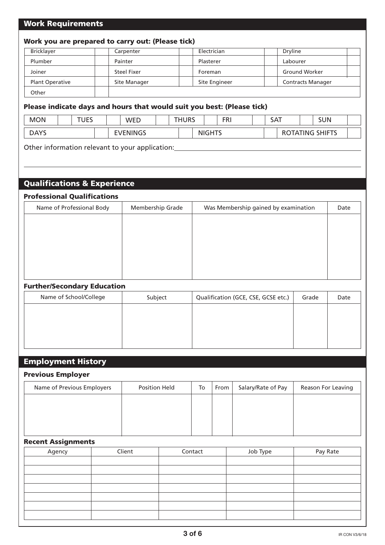## Work Requirements

## Work you are prepared to carry out: (Please tick)

| <b>Bricklayer</b>      | Carpenter    | Electrician   | Dryline                  |
|------------------------|--------------|---------------|--------------------------|
| Plumber                | Painter      | Plasterer     | Labourer                 |
| Joiner                 | Steel Fixer  | Foreman       | <b>Ground Worker</b>     |
| <b>Plant Operative</b> | Site Manager | Site Engineer | <b>Contracts Manager</b> |
| Other                  |              |               |                          |

## Please indicate days and hours that would suit you best: (Please tick)

| <b>MON</b>  | <b>UES</b><br>- | <b>WED</b> | тн | IURS | <b>FRI</b> | SAT |      | <b>SUN</b>           |  |
|-------------|-----------------|------------|----|------|------------|-----|------|----------------------|--|
| <b>DAYS</b> |                 | :VENINGS   |    | NIG' |            | ٦   | -INC | <b>SHIFTS</b><br>. . |  |

Other information relevant to your application: \_\_\_\_\_\_\_\_\_\_\_\_\_\_\_\_\_\_\_\_\_\_\_\_\_\_\_\_\_\_\_\_

## Qualifications & Experience

### Professional Qualifications

| Membership Grade | Was Membership gained by examination | Date |
|------------------|--------------------------------------|------|
|                  |                                      |      |
|                  |                                      |      |
|                  |                                      |      |
|                  |                                      |      |
|                  |                                      |      |
|                  |                                      |      |

### Further/Secondary Education

| Name of School/College | Subject | Qualification (GCE, CSE, GCSE etc.) | Grade | Date |
|------------------------|---------|-------------------------------------|-------|------|
|                        |         |                                     |       |      |
|                        |         |                                     |       |      |
|                        |         |                                     |       |      |
|                        |         |                                     |       |      |

## Employment History

## Previous Employer

| Name of Previous Employers | Position Held | To | From | Salary/Rate of Pay | <b>Reason For Leaving</b> |
|----------------------------|---------------|----|------|--------------------|---------------------------|
|                            |               |    |      |                    |                           |
|                            |               |    |      |                    |                           |
|                            |               |    |      |                    |                           |

#### Recent Assignments

| Agency | Client | Contact | Job Type | Pay Rate |
|--------|--------|---------|----------|----------|
|        |        |         |          |          |
|        |        |         |          |          |
|        |        |         |          |          |
|        |        |         |          |          |
|        |        |         |          |          |
|        |        |         |          |          |
|        |        |         |          |          |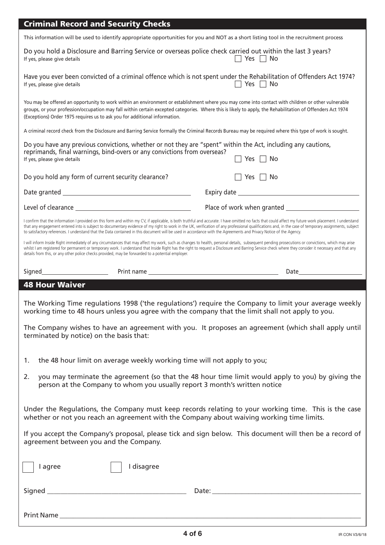| This information will be used to identify appropriate opportunities for you and NOT as a short listing tool in the recruitment process                                                                                                                                                                                                                                                                                                                                                                                                                                                 |                                                                                                                                                                                                                               |  |  |  |  |  |  |  |
|----------------------------------------------------------------------------------------------------------------------------------------------------------------------------------------------------------------------------------------------------------------------------------------------------------------------------------------------------------------------------------------------------------------------------------------------------------------------------------------------------------------------------------------------------------------------------------------|-------------------------------------------------------------------------------------------------------------------------------------------------------------------------------------------------------------------------------|--|--|--|--|--|--|--|
| If yes, please give details                                                                                                                                                                                                                                                                                                                                                                                                                                                                                                                                                            | Do you hold a Disclosure and Barring Service or overseas police check carried out within the last 3 years?<br>Yes $\Box$ No                                                                                                   |  |  |  |  |  |  |  |
| Have you ever been convicted of a criminal offence which is not spent under the Rehabilitation of Offenders Act 1974?<br>$\Box$ Yes $\Box$ No<br>If yes, please give details                                                                                                                                                                                                                                                                                                                                                                                                           |                                                                                                                                                                                                                               |  |  |  |  |  |  |  |
| You may be offered an opportunity to work within an environment or establishment where you may come into contact with children or other vulnerable<br>groups, or your profession/occupation may fall within certain excepted categories. Where this is likely to apply, the Rehabilitation of Offenders Act 1974<br>(Exceptions) Order 1975 requires us to ask you for additional information.                                                                                                                                                                                         |                                                                                                                                                                                                                               |  |  |  |  |  |  |  |
| A criminal record check from the Disclosure and Barring Service formally the Criminal Records Bureau may be required where this type of work is sought.                                                                                                                                                                                                                                                                                                                                                                                                                                |                                                                                                                                                                                                                               |  |  |  |  |  |  |  |
| Do you have any previous convictions, whether or not they are "spent" within the Act, including any cautions,<br>reprimands, final warnings, bind-overs or any convictions from overseas?<br>If yes, please give details                                                                                                                                                                                                                                                                                                                                                               | $\Box$ No<br>Yes $\vert$                                                                                                                                                                                                      |  |  |  |  |  |  |  |
| Do you hold any form of current security clearance?                                                                                                                                                                                                                                                                                                                                                                                                                                                                                                                                    | Yes $\Box$ No                                                                                                                                                                                                                 |  |  |  |  |  |  |  |
|                                                                                                                                                                                                                                                                                                                                                                                                                                                                                                                                                                                        |                                                                                                                                                                                                                               |  |  |  |  |  |  |  |
|                                                                                                                                                                                                                                                                                                                                                                                                                                                                                                                                                                                        |                                                                                                                                                                                                                               |  |  |  |  |  |  |  |
| I confirm that the information I provided on this form and within my CV, if applicable, is both truthful and accurate. I have omitted no facts that could affect my future work placement. I understand<br>that any engagement entered into is subject to documentary evidence of my right to work in the UK, verification of any professional qualifications and, in the case of temporary assignments, subject<br>to satisfactory references. I understand that the Data contained in this document will be used in accordance with the Agreements and Privacy Notice of the Agency. |                                                                                                                                                                                                                               |  |  |  |  |  |  |  |
| I will inform Inside Right immediately of any circumstances that may affect my work, such as changes to health, personal details, subsequent pending prosecutions or convictions, which may arise<br>whilst I am registered for permanent or temporary work. I understand that Inside Right has the right to request a Disclosure and Barring Service check where they consider it necessary and that any<br>details from this, or any other police checks provided, may be forwarded to a potential employer.                                                                         |                                                                                                                                                                                                                               |  |  |  |  |  |  |  |
|                                                                                                                                                                                                                                                                                                                                                                                                                                                                                                                                                                                        |                                                                                                                                                                                                                               |  |  |  |  |  |  |  |
|                                                                                                                                                                                                                                                                                                                                                                                                                                                                                                                                                                                        |                                                                                                                                                                                                                               |  |  |  |  |  |  |  |
| <b>48 Hour Waiver</b>                                                                                                                                                                                                                                                                                                                                                                                                                                                                                                                                                                  |                                                                                                                                                                                                                               |  |  |  |  |  |  |  |
| The Working Time regulations 1998 ('the regulations') require the Company to limit your average weekly<br>working time to 48 hours unless you agree with the company that the limit shall not apply to you.                                                                                                                                                                                                                                                                                                                                                                            |                                                                                                                                                                                                                               |  |  |  |  |  |  |  |
| The Company wishes to have an agreement with you. It proposes an agreement (which shall apply until<br>terminated by notice) on the basis that:                                                                                                                                                                                                                                                                                                                                                                                                                                        |                                                                                                                                                                                                                               |  |  |  |  |  |  |  |
| the 48 hour limit on average weekly working time will not apply to you;<br>1.                                                                                                                                                                                                                                                                                                                                                                                                                                                                                                          |                                                                                                                                                                                                                               |  |  |  |  |  |  |  |
| 2.<br>person at the Company to whom you usually report 3 month's written notice                                                                                                                                                                                                                                                                                                                                                                                                                                                                                                        | you may terminate the agreement (so that the 48 hour time limit would apply to you) by giving the                                                                                                                             |  |  |  |  |  |  |  |
| Under the Regulations, the Company must keep records relating to your working time. This is the case<br>whether or not you reach an agreement with the Company about waiving working time limits.                                                                                                                                                                                                                                                                                                                                                                                      |                                                                                                                                                                                                                               |  |  |  |  |  |  |  |
| If you accept the Company's proposal, please tick and sign below. This document will then be a record of<br>agreement between you and the Company.                                                                                                                                                                                                                                                                                                                                                                                                                                     |                                                                                                                                                                                                                               |  |  |  |  |  |  |  |
| I disagree<br>I agree                                                                                                                                                                                                                                                                                                                                                                                                                                                                                                                                                                  |                                                                                                                                                                                                                               |  |  |  |  |  |  |  |
|                                                                                                                                                                                                                                                                                                                                                                                                                                                                                                                                                                                        | Date: Note: Note: Note: Note: Note: Note: Note: Note: Note: Note: Note: Note: Note: Note: Note: Note: Note: Note: Note: Note: Note: Note: Note: Note: Note: Note: Note: Note: Note: Note: Note: Note: Note: Note: Note: Note: |  |  |  |  |  |  |  |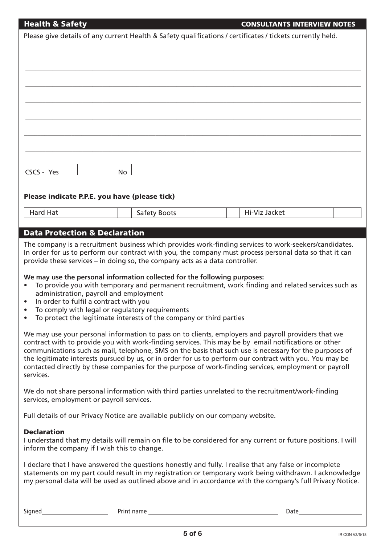| <b>Health &amp; Safety</b>                                                                                                          |                                                                                                                                                                                                                                                                                                                                                                                                                                                                                                                                            | <b>CONSULTANTS INTERVIEW NOTES</b> |  |
|-------------------------------------------------------------------------------------------------------------------------------------|--------------------------------------------------------------------------------------------------------------------------------------------------------------------------------------------------------------------------------------------------------------------------------------------------------------------------------------------------------------------------------------------------------------------------------------------------------------------------------------------------------------------------------------------|------------------------------------|--|
|                                                                                                                                     | Please give details of any current Health & Safety qualifications / certificates / tickets currently held.                                                                                                                                                                                                                                                                                                                                                                                                                                 |                                    |  |
|                                                                                                                                     |                                                                                                                                                                                                                                                                                                                                                                                                                                                                                                                                            |                                    |  |
|                                                                                                                                     |                                                                                                                                                                                                                                                                                                                                                                                                                                                                                                                                            |                                    |  |
|                                                                                                                                     |                                                                                                                                                                                                                                                                                                                                                                                                                                                                                                                                            |                                    |  |
| CSCS - Yes                                                                                                                          | <b>No</b>                                                                                                                                                                                                                                                                                                                                                                                                                                                                                                                                  |                                    |  |
| Please indicate P.P.E. you have (please tick)                                                                                       |                                                                                                                                                                                                                                                                                                                                                                                                                                                                                                                                            |                                    |  |
| <b>Hard Hat</b>                                                                                                                     | Safety Boots                                                                                                                                                                                                                                                                                                                                                                                                                                                                                                                               | Hi-Viz Jacket                      |  |
| <b>Data Protection &amp; Declaration</b>                                                                                            |                                                                                                                                                                                                                                                                                                                                                                                                                                                                                                                                            |                                    |  |
|                                                                                                                                     | The company is a recruitment business which provides work-finding services to work-seekers/candidates.<br>In order for us to perform our contract with you, the company must process personal data so that it can<br>provide these services – in doing so, the company acts as a data controller.                                                                                                                                                                                                                                          |                                    |  |
| administration, payroll and employment<br>In order to fulfil a contract with you<br>To comply with legal or regulatory requirements | We may use the personal information collected for the following purposes:<br>To provide you with temporary and permanent recruitment, work finding and related services such as<br>To protect the legitimate interests of the company or third parties                                                                                                                                                                                                                                                                                     |                                    |  |
| services.                                                                                                                           | We may use your personal information to pass on to clients, employers and payroll providers that we<br>contract with to provide you with work-finding services. This may be by email notifications or other<br>communications such as mail, telephone, SMS on the basis that such use is necessary for the purposes of<br>the legitimate interests pursued by us, or in order for us to perform our contract with you. You may be<br>contacted directly by these companies for the purpose of work-finding services, employment or payroll |                                    |  |
| services, employment or payroll services.                                                                                           | We do not share personal information with third parties unrelated to the recruitment/work-finding                                                                                                                                                                                                                                                                                                                                                                                                                                          |                                    |  |
|                                                                                                                                     | Full details of our Privacy Notice are available publicly on our company website.                                                                                                                                                                                                                                                                                                                                                                                                                                                          |                                    |  |
| <b>Declaration</b><br>inform the company if I wish this to change.                                                                  | I understand that my details will remain on file to be considered for any current or future positions. I will                                                                                                                                                                                                                                                                                                                                                                                                                              |                                    |  |
|                                                                                                                                     | I declare that I have answered the questions honestly and fully. I realise that any false or incomplete<br>statements on my part could result in my registration or temporary work being withdrawn. I acknowledge<br>my personal data will be used as outlined above and in accordance with the company's full Privacy Notice.                                                                                                                                                                                                             |                                    |  |
| Signed                                                                                                                              | Print name __                                                                                                                                                                                                                                                                                                                                                                                                                                                                                                                              | Date                               |  |